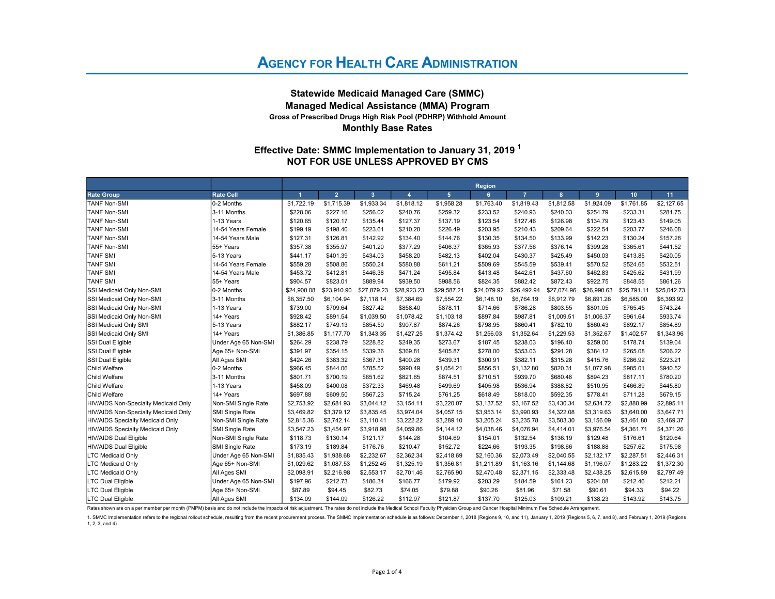#### Statewide Medicaid Managed Care (SMMC) Managed Medical Assistance (MMA) Program Monthly Base Rates Gross of Prescribed Drugs High Risk Pool (PDHRP) Withhold Amount

#### NOT FOR USE UNLESS APPROVED BY CMS Effective Date: SMMC Implementation to January 31, 2019  $^1$

|                                      |                      |                      |                |             |                  |                 | Region      |                |             |             |             |             |
|--------------------------------------|----------------------|----------------------|----------------|-------------|------------------|-----------------|-------------|----------------|-------------|-------------|-------------|-------------|
| <b>Rate Group</b>                    | <b>Rate Cell</b>     | $\blacktriangleleft$ | $\overline{2}$ | 3           | $\boldsymbol{A}$ | $5\phantom{.0}$ | 6           | $\overline{z}$ | 8           | 9           | 10          | 11          |
| <b>TANF Non-SMI</b>                  | 0-2 Months           | \$1,722.19           | \$1,715.39     | \$1,933.34  | \$1,818.12       | \$1,958.28      | \$1,763.40  | \$1,819.43     | \$1,812.58  | \$1,924.09  | \$1,761.85  | \$2,127.65  |
| <b>TANF Non-SMI</b>                  | 3-11 Months          | \$228.06             | \$227.16       | \$256.02    | \$240.76         | \$259.32        | \$233.52    | \$240.93       | \$240.03    | \$254.79    | \$233.31    | \$281.75    |
| <b>TANF Non-SMI</b>                  | 1-13 Years           | \$120.65             | \$120.17       | \$135.44    | \$127.37         | \$137.19        | \$123.54    | \$127.46       | \$126.98    | \$134.79    | \$123.43    | \$149.05    |
| <b>TANF Non-SMI</b>                  | 14-54 Years Female   | \$199.19             | \$198.40       | \$223.61    | \$210.28         | \$226.49        | \$203.95    | \$210.43       | \$209.64    | \$222.54    | \$203.77    | \$246.08    |
| <b>TANF Non-SMI</b>                  | 14-54 Years Male     | \$127.31             | \$126.81       | \$142.92    | \$134.40         | \$144.76        | \$130.35    | \$134.50       | \$133.99    | \$142.23    | \$130.24    | \$157.28    |
| <b>TANF Non-SMI</b>                  | 55+ Years            | \$357.38             | \$355.97       | \$401.20    | \$377.29         | \$406.37        | \$365.93    | \$377.56       | \$376.14    | \$399.28    | \$365.61    | \$441.52    |
| <b>TANF SMI</b>                      | 5-13 Years           | \$441.17             | \$401.39       | \$434.03    | \$458.20         | \$482.13        | \$402.04    | \$430.37       | \$425.49    | \$450.03    | \$413.85    | \$420.05    |
| <b>TANF SMI</b>                      | 14-54 Years Female   | \$559.28             | \$508.86       | \$550.24    | \$580.88         | \$611.21        | \$509.69    | \$545.59       | \$539.41    | \$570.52    | \$524.65    | \$532.51    |
| <b>TANF SMI</b>                      | 14-54 Years Male     | \$453.72             | \$412.81       | \$446.38    | \$471.24         | \$495.84        | \$413.48    | \$442.61       | \$437.60    | \$462.83    | \$425.62    | \$431.99    |
| <b>TANF SMI</b>                      | 55+ Years            | \$904.57             | \$823.01       | \$889.94    | \$939.50         | \$988.56        | \$824.35    | \$882.42       | \$872.43    | \$922.75    | \$848.55    | \$861.26    |
| SSI Medicaid Only Non-SMI            | 0-2 Months           | \$24,900.08          | \$23,910.90    | \$27,879.23 | \$28,923.23      | \$29,587.21     | \$24,079.92 | \$26,492.94    | \$27,074.96 | \$26,990.63 | \$25,791.11 | \$25,042.73 |
| SSI Medicaid Only Non-SMI            | 3-11 Months          | \$6,357.50           | \$6,104.94     | \$7,118.14  | \$7,384.69       | \$7,554.22      | \$6,148.10  | \$6,764.19     | \$6,912.79  | \$6,891.26  | \$6,585.00  | \$6,393.92  |
| SSI Medicaid Only Non-SMI            | 1-13 Years           | \$739.00             | \$709.64       | \$827.42    | \$858.40         | \$878.11        | \$714.66    | \$786.28       | \$803.55    | \$801.05    | \$765.45    | \$743.24    |
| SSI Medicaid Only Non-SMI            | 14+ Years            | \$928.42             | \$891.54       | \$1,039.50  | \$1,078.42       | \$1,103.18      | \$897.84    | \$987.81       | \$1,009.51  | \$1,006.37  | \$961.64    | \$933.74    |
| SSI Medicaid Only SMI                | 5-13 Years           | \$882.17             | \$749.13       | \$854.50    | \$907.87         | \$874.26        | \$798.95    | \$860.41       | \$782.10    | \$860.43    | \$892.17    | \$854.89    |
| SSI Medicaid Only SMI                | 14+ Years            | \$1,386.85           | \$1,177.70     | \$1,343.35  | \$1,427.25       | \$1,374.42      | \$1,256.03  | \$1,352.64     | \$1,229.53  | \$1,352.67  | \$1,402.57  | \$1,343.96  |
| <b>SSI Dual Eligible</b>             | Under Age 65 Non-SMI | \$264.29             | \$238.79       | \$228.82    | \$249.35         | \$273.67        | \$187.45    | \$238.03       | \$196.40    | \$259.00    | \$178.74    | \$139.04    |
| <b>SSI Dual Eligible</b>             | Age 65+ Non-SMI      | \$391.97             | \$354.15       | \$339.36    | \$369.81         | \$405.87        | \$278.00    | \$353.03       | \$291.28    | \$384.12    | \$265.08    | \$206.22    |
| SSI Dual Eligible                    | All Ages SMI         | \$424.26             | \$383.32       | \$367.31    | \$400.28         | \$439.31        | \$300.91    | \$382.11       | \$315.28    | \$415.76    | \$286.92    | \$223.21    |
| Child Welfare                        | 0-2 Months           | \$966.45             | \$844.06       | \$785.52    | \$990.49         | \$1,054.21      | \$856.51    | \$1,132.80     | \$820.31    | \$1,077.98  | \$985.01    | \$940.52    |
| <b>Child Welfare</b>                 | 3-11 Months          | \$801.71             | \$700.19       | \$651.62    | \$821.65         | \$874.51        | \$710.51    | \$939.70       | \$680.48    | \$894.23    | \$817.11    | \$780.20    |
| <b>Child Welfare</b>                 | 1-13 Years           | \$458.09             | \$400.08       | \$372.33    | \$469.48         | \$499.69        | \$405.98    | \$536.94       | \$388.82    | \$510.95    | \$466.89    | \$445.80    |
| <b>Child Welfare</b>                 | 14+ Years            | \$697.88             | \$609.50       | \$567.23    | \$715.24         | \$761.25        | \$618.49    | \$818.00       | \$592.35    | \$778.41    | \$711.28    | \$679.15    |
| HIV/AIDS Non-Specialty Medicaid Only | Non-SMI Single Rate  | \$2,753.92           | \$2,681.93     | \$3.044.12  | \$3,154.11       | \$3,220.07      | \$3,137.52  | \$3,167.52     | \$3,430.34  | \$2,634.72  | \$2,888.99  | \$2,895.11  |
| HIV/AIDS Non-Specialty Medicaid Only | SMI Single Rate      | \$3,469.82           | \$3,379.12     | \$3,835.45  | \$3,974.04       | \$4,057.15      | \$3,953.14  | \$3,990.93     | \$4,322.08  | \$3,319.63  | \$3,640.00  | \$3,647.71  |
| HIV/AIDS Specialty Medicaid Only     | Non-SMI Single Rate  | \$2,815.36           | \$2,742.14     | \$3,110.41  | \$3,222.22       | \$3,289.10      | \$3,205.24  | \$3,235.78     | \$3,503.30  | \$3,156.09  | \$3,461.80  | \$3,469.37  |
| HIV/AIDS Specialty Medicaid Only     | SMI Single Rate      | \$3,547.23           | \$3,454.97     | \$3,918.98  | \$4,059.86       | \$4,144.12      | \$4,038.46  | \$4,076.94     | \$4,414.01  | \$3,976.54  | \$4,361.71  | \$4,371.26  |
| HIV/AIDS Dual Eligible               | Non-SMI Single Rate  | \$118.73             | \$130.14       | \$121.17    | \$144.28         | \$104.69        | \$154.01    | \$132.54       | \$136.19    | \$129.48    | \$176.61    | \$120.64    |
| HIV/AIDS Dual Eligible               | SMI Single Rate      | \$173.19             | \$189.84       | \$176.76    | \$210.47         | \$152.72        | \$224.66    | \$193.35       | \$198.66    | \$188.88    | \$257.62    | \$175.98    |
| LTC Medicaid Only                    | Under Age 65 Non-SMI | \$1,835.43           | \$1,938.68     | \$2,232.67  | \$2,362.34       | \$2,418.69      | \$2,160.36  | \$2,073.49     | \$2,040.55  | \$2,132.17  | \$2,287.51  | \$2,446.31  |
| <b>LTC Medicaid Only</b>             | Age 65+ Non-SMI      | \$1,029.62           | \$1,087.53     | \$1,252.45  | \$1,325.19       | \$1,356.81      | \$1,211.89  | \$1,163.16     | \$1,144.68  | \$1,196.07  | \$1,283.22  | \$1,372.30  |
| <b>LTC Medicaid Only</b>             | All Ages SMI         | \$2,098.91           | \$2,216.98     | \$2,553.17  | \$2,701.46       | \$2,765.90      | \$2,470.48  | \$2,371.15     | \$2,333.48  | \$2,438.25  | \$2,615.89  | \$2,797.49  |
| <b>LTC Dual Eligible</b>             | Under Age 65 Non-SMI | \$197.96             | \$212.73       | \$186.34    | \$166.77         | \$179.92        | \$203.29    | \$184.59       | \$161.23    | \$204.08    | \$212.46    | \$212.21    |
| <b>LTC Dual Eligible</b>             | Age 65+ Non-SMI      | \$87.89              | \$94.45        | \$82.73     | \$74.05          | \$79.88         | \$90.26     | \$81.96        | \$71.58     | \$90.61     | \$94.33     | \$94.22     |
| LTC Dual Eligible                    | All Ages SMI         | \$134.09             | \$144.09       | \$126.22    | \$112.97         | \$121.87        | \$137.70    | \$125.03       | \$109.21    | \$138.23    | \$143.92    | \$143.75    |

Rates shown are on a per member per month (PMPM) basis and do not include the impacts of risk adjustment. The rates do not include the Medical School Faculty Physician Group and Cancer Hospital Minimum Fee Schedule Arrange

1. SMMC Implementation refers to the regional rollout schedule, resulting from the recent procurement process. The SMMC Implementation schedule is as follows: December 1, 2018 (Regions 9, 10, and 11), January 1, 2019 (Regi 1, 2, 3, and 4)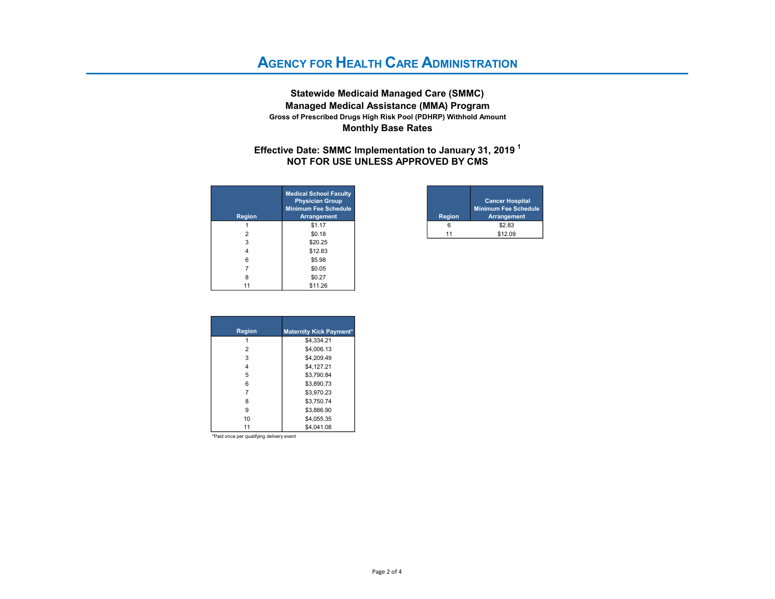Statewide Medicaid Managed Care (SMMC) Managed Medical Assistance (MMA) Program Monthly Base Rates Gross of Prescribed Drugs High Risk Pool (PDHRP) Withhold Amount

#### NOT FOR USE UNLESS APPROVED BY CMS Effective Date: SMMC Implementation to January 31, 2019  $^1$

| <b>Region</b>  | <b>Medical School Faculty</b><br><b>Physician Group</b><br><b>Minimum Fee Schedule</b><br><b>Arrangement</b> |
|----------------|--------------------------------------------------------------------------------------------------------------|
|                | \$1.17                                                                                                       |
| $\overline{2}$ | \$0.18                                                                                                       |
| 3              | \$20.25                                                                                                      |
| 4              | \$12.83                                                                                                      |
| 6              | \$5.98                                                                                                       |
|                | \$0.05                                                                                                       |
| 8              | \$0.27                                                                                                       |
| 11             | \$11.26                                                                                                      |

| <b>School Faculty</b><br>cian Group<br>Fee Schedule<br><b>Ingement</b> | <b>Region</b> | <b>Cancer Hospital</b><br><b>Minimum Fee Schedule</b><br><b>Arrangement</b> |
|------------------------------------------------------------------------|---------------|-----------------------------------------------------------------------------|
| \$1.17                                                                 |               | \$2.83                                                                      |
| \$0.18                                                                 |               | \$12.09                                                                     |

| <b>Region</b> | <b>Maternity Kick Payment*</b> |
|---------------|--------------------------------|
|               | \$4,334.21                     |
| 2             | \$4.006.13                     |
| 3             | \$4.209.49                     |
| 4             | \$4,127.21                     |
| 5             | \$3.790.84                     |
| 6             | \$3.890.73                     |
|               | \$3.970.23                     |
| 8             | \$3.750.74                     |
| 9             | \$3.886.90                     |
| 10            | \$4.055.35                     |
|               | \$4.041.08                     |

\*Paid once per qualifying delivery event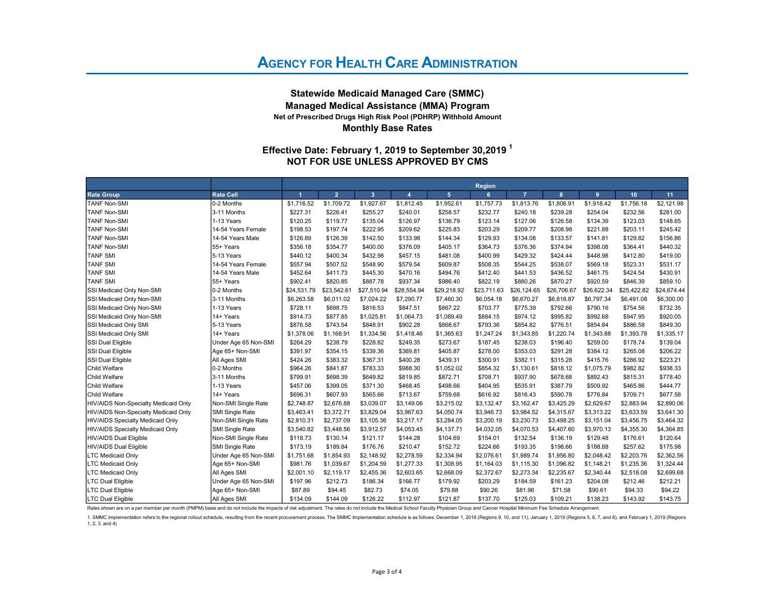#### Statewide Medicaid Managed Care (SMMC) Managed Medical Assistance (MMA) Program Net of Prescribed Drugs High Risk Pool (PDHRP) Withhold Amount Monthly Base Rates

### NOT FOR USE UNLESS APPROVED BY CMS Effective Date: February 1, 2019 to September 30,2019  $^{\text{1}}$

|                                      |                        |                      |                |                         |                |                | <b>Region</b> |                |             |             |             |             |
|--------------------------------------|------------------------|----------------------|----------------|-------------------------|----------------|----------------|---------------|----------------|-------------|-------------|-------------|-------------|
| <b>Rate Group</b>                    | <b>Rate Cell</b>       | $\blacktriangleleft$ | $\overline{2}$ | $\overline{\mathbf{3}}$ | $\overline{4}$ | $\overline{5}$ | 6             | $\overline{7}$ | 8           | 9           | 10          | 11          |
| <b>TANF Non-SMI</b>                  | 0-2 Months             | \$1,716.52           | \$1,709.72     | \$1,927.67              | \$1,812.45     | \$1,952.61     | \$1,757.73    | \$1,813.76     | \$1,806.91  | \$1,918.42  | \$1,756.18  | \$2,121.98  |
| <b>TANF Non-SMI</b>                  | 3-11 Months            | \$227.31             | \$226.41       | \$255.27                | \$240.01       | \$258.57       | \$232.77      | \$240.18       | \$239.28    | \$254.04    | \$232.56    | \$281.00    |
| <b>TANF Non-SMI</b>                  | 1-13 Years             | \$120.25             | \$119.77       | \$135.04                | \$126.97       | \$136.79       | \$123.14      | \$127.06       | \$126.58    | \$134.39    | \$123.03    | \$148.65    |
| <b>TANF Non-SMI</b>                  | 14-54 Years Female     | \$198.53             | \$197.74       | \$222.95                | \$209.62       | \$225.83       | \$203.29      | \$209.77       | \$208.98    | \$221.88    | \$203.11    | \$245.42    |
| <b>TANF Non-SMI</b>                  | 14-54 Years Male       | \$126.89             | \$126.39       | \$142.50                | \$133.98       | \$144.34       | \$129.93      | \$134.08       | \$133.57    | \$141.81    | \$129.82    | \$156.86    |
| <b>TANF Non-SMI</b>                  | 55+ Years              | \$356.18             | \$354.77       | \$400.00                | \$376.09       | \$405.17       | \$364.73      | \$376.36       | \$374.94    | \$398.08    | \$364.41    | \$440.32    |
| <b>TANF SMI</b>                      | 5-13 Years             | \$440.12             | \$400.34       | \$432.98                | \$457.15       | \$481.08       | \$400.99      | \$429.32       | \$424.44    | \$448.98    | \$412.80    | \$419.00    |
| <b>TANF SMI</b>                      | 14-54 Years Female     | \$557.94             | \$507.52       | \$548.90                | \$579.54       | \$609.87       | \$508.35      | \$544.25       | \$538.07    | \$569.18    | \$523.31    | \$531.17    |
| <b>TANF SMI</b>                      | 14-54 Years Male       | \$452.64             | \$411.73       | \$445.30                | \$470.16       | \$494.76       | \$412.40      | \$441.53       | \$436.52    | \$461.75    | \$424.54    | \$430.91    |
| <b>TANF SMI</b>                      | 55+ Years              | \$902.41             | \$820.85       | \$887.78                | \$937.34       | \$986.40       | \$822.19      | \$880.26       | \$870.27    | \$920.59    | \$846.39    | \$859.10    |
| SSI Medicaid Only Non-SMI            | 0-2 Months             | \$24.531.79          | \$23,542.61    | \$27,510.94             | \$28,554.94    | \$29,218.92    | \$23,711.63   | \$26,124.65    | \$26,706.67 | \$26.622.34 | \$25,422.82 | \$24,674.44 |
| SSI Medicaid Only Non-SMI            | 3-11 Months            | \$6,263.58           | \$6,011.02     | \$7,024.22              | \$7,290.77     | \$7,460.30     | \$6,054.18    | \$6,670.27     | \$6,818.87  | \$6,797.34  | \$6,491.08  | \$6,300.00  |
| SSI Medicaid Only Non-SMI            | 1-13 Years             | \$728.11             | \$698.75       | \$816.53                | \$847.51       | \$867.22       | \$703.77      | \$775.39       | \$792.66    | \$790.16    | \$754.56    | \$732.35    |
| SSI Medicaid Only Non-SMI            | 14+ Years              | \$914.73             | \$877.85       | \$1,025.81              | \$1,064.73     | \$1,089.49     | \$884.15      | \$974.12       | \$995.82    | \$992.68    | \$947.95    | \$920.05    |
| SSI Medicaid Only SMI                | 5-13 Years             | \$876.58             | \$743.54       | \$848.91                | \$902.28       | \$868.67       | \$793.36      | \$854.82       | \$776.51    | \$854.84    | \$886.58    | \$849.30    |
| SSI Medicaid Only SMI                | 14+ Years              | \$1,378.06           | \$1,168.91     | \$1,334.56              | \$1,418.46     | \$1,365.63     | \$1,247.24    | \$1,343.85     | \$1,220.74  | \$1,343.88  | \$1,393.78  | \$1,335.17  |
| SSI Dual Eligible                    | Under Age 65 Non-SMI   | \$264.29             | \$238.79       | \$228.82                | \$249.35       | \$273.67       | \$187.45      | \$238.03       | \$196.40    | \$259.00    | \$178.74    | \$139.04    |
| SSI Dual Eligible                    | Age 65+ Non-SMI        | \$391.97             | \$354.15       | \$339.36                | \$369.81       | \$405.87       | \$278.00      | \$353.03       | \$291.28    | \$384.12    | \$265.08    | \$206.22    |
| SSI Dual Eligible                    | All Ages SMI           | \$424.26             | \$383.32       | \$367.31                | \$400.28       | \$439.31       | \$300.91      | \$382.11       | \$315.28    | \$415.76    | \$286.92    | \$223.21    |
| <b>Child Welfare</b>                 | 0-2 Months             | \$964.26             | \$841.87       | \$783.33                | \$988.30       | \$1,052.02     | \$854.32      | \$1,130.61     | \$818.12    | \$1,075.79  | \$982.82    | \$938.33    |
| <b>Child Welfare</b>                 | 3-11 Months            | \$799.91             | \$698.39       | \$649.82                | \$819.85       | \$872.71       | \$708.71      | \$937.90       | \$678.68    | \$892.43    | \$815.31    | \$778.40    |
| <b>Child Welfare</b>                 | 1-13 Years             | \$457.06             | \$399.05       | \$371.30                | \$468.45       | \$498.66       | \$404.95      | \$535.91       | \$387.79    | \$509.92    | \$465.86    | \$444.77    |
| <b>Child Welfare</b>                 | 14+ Years              | \$696.31             | \$607.93       | \$565.66                | \$713.67       | \$759.68       | \$616.92      | \$816.43       | \$590.78    | \$776.84    | \$709.71    | \$677.58    |
| HIV/AIDS Non-Specialty Medicaid Only | Non-SMI Single Rate    | \$2,748.87           | \$2,676.88     | \$3,039.07              | \$3,149.06     | \$3,215.02     | \$3,132.47    | \$3,162.47     | \$3,425.29  | \$2,629.67  | \$2,883.94  | \$2,890.06  |
| HIV/AIDS Non-Specialty Medicaid Only | <b>SMI Single Rate</b> | \$3,463.41           | \$3,372.71     | \$3,829.04              | \$3,967.63     | \$4,050.74     | \$3,946.73    | \$3,984.52     | \$4,315.67  | \$3,313.22  | \$3,633.59  | \$3,641.30  |
| HIV/AIDS Specialty Medicaid Only     | Non-SMI Single Rate    | \$2,810.31           | \$2,737.09     | \$3,105.36              | \$3,217.17     | \$3,284.05     | \$3,200.19    | \$3,230.73     | \$3.498.25  | \$3,151.04  | \$3.456.75  | \$3,464.32  |
| HIV/AIDS Specialty Medicaid Only     | <b>SMI Single Rate</b> | \$3,540.82           | \$3,448.56     | \$3,912.57              | \$4,053.45     | \$4,137.71     | \$4,032.05    | \$4,070.53     | \$4,407.60  | \$3,970.13  | \$4,355.30  | \$4,364.85  |
| HIV/AIDS Dual Eligible               | Non-SMI Single Rate    | \$118.73             | \$130.14       | \$121.17                | \$144.28       | \$104.69       | \$154.01      | \$132.54       | \$136.19    | \$129.48    | \$176.61    | \$120.64    |
| HIV/AIDS Dual Eligible               | SMI Single Rate        | \$173.19             | \$189.84       | \$176.76                | \$210.47       | \$152.72       | \$224.66      | \$193.35       | \$198.66    | \$188.88    | \$257.62    | \$175.98    |
| <b>LTC Medicaid Only</b>             | Under Age 65 Non-SMI   | \$1,751.68           | \$1,854.93     | \$2,148.92              | \$2,278.59     | \$2,334.94     | \$2,076.61    | \$1,989.74     | \$1,956.80  | \$2,048.42  | \$2,203.76  | \$2,362.56  |
| <b>LTC Medicaid Only</b>             | Age 65+ Non-SMI        | \$981.76             | \$1,039.67     | \$1,204.59              | \$1,277.33     | \$1,308.95     | \$1,164.03    | \$1,115.30     | \$1,096.82  | \$1,148.21  | \$1,235.36  | \$1,324.44  |
| <b>LTC Medicaid Only</b>             | All Ages SMI           | \$2,001.10           | \$2,119.17     | \$2,455.36              | \$2,603.65     | \$2,668.09     | \$2,372.67    | \$2,273.34     | \$2,235.67  | \$2,340.44  | \$2,518.08  | \$2,699.68  |
| LTC Dual Eligible                    | Under Age 65 Non-SMI   | \$197.96             | \$212.73       | \$186.34                | \$166.77       | \$179.92       | \$203.29      | \$184.59       | \$161.23    | \$204.08    | \$212.46    | \$212.21    |
| <b>LTC Dual Eligible</b>             | Age 65+ Non-SMI        | \$87.89              | \$94.45        | \$82.73                 | \$74.05        | \$79.88        | \$90.26       | \$81.96        | \$71.58     | \$90.61     | \$94.33     | \$94.22     |
| LTC Dual Eligible                    | All Ages SMI           | \$134.09             | \$144.09       | \$126.22                | \$112.97       | \$121.87       | \$137.70      | \$125.03       | \$109.21    | \$138.23    | \$143.92    | \$143.75    |

Rates shown are on a per member per month (PMPM) basis and do not include the impacts of risk adjustment. The rates do not include the Medical School Faculty Physician Group and Cancer Hospital Minimum Fee Schedule Arrange

1. SMMC Implementation refers to the regional rollout schedule, resulting from the recent procurement process. The SMMC Implementation schedule is as follows: December 1, 2018 (Regions 9, 10, and 11), January 1, 2019 (Regi 1, 2, 3, and 4)